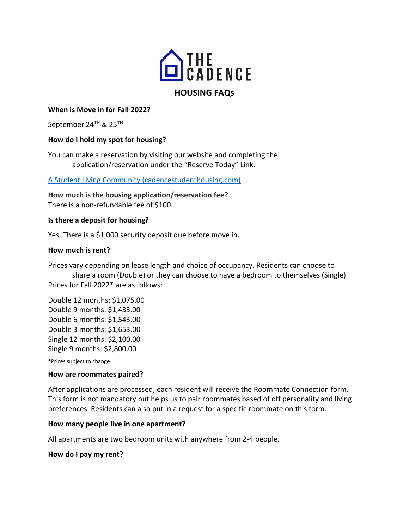

### **When is Move in for Fall 2022?**

September 24TH & 25TH

#### **How do I hold my spot for housing?**

You can make a reservation by visiting our website and completing the application/reservation under the "Reserve Today" Link.

#### [A Student Living Community \(cadencestudenthousing.com\)](https://cadencestudenthousing.com/)

**How much is the housing application/reservation fee?** There is a non-refundable fee of \$100.

#### **Is there a deposit for housing?**

Yes. There is a \$1,000 security deposit due before move in.

#### **How much is rent?**

Prices vary depending on lease length and choice of occupancy. Residents can choose to share a room (Double) or they can choose to have a bedroom to themselves (Single). Prices for Fall 2022\* are as follows:

Double 12 months: \$1,075.00 Double 9 months: \$1,433.00 Double 6 months: \$1,543.00 Double 3 months: \$1,653.00 Single 12 months: \$2,100.00 Single 9 months: \$2,800.00

\*Prices subject to change

#### **How are roommates paired?**

After applications are processed, each resident will receive the Roommate Connection form. This form is not mandatory but helps us to pair roommates based of off personality and living preferences. Residents can also put in a request for a specific roommate on this form.

#### **How many people live in one apartment?**

All apartments are two bedroom units with anywhere from 2-4 people.

#### **How do I pay my rent?**